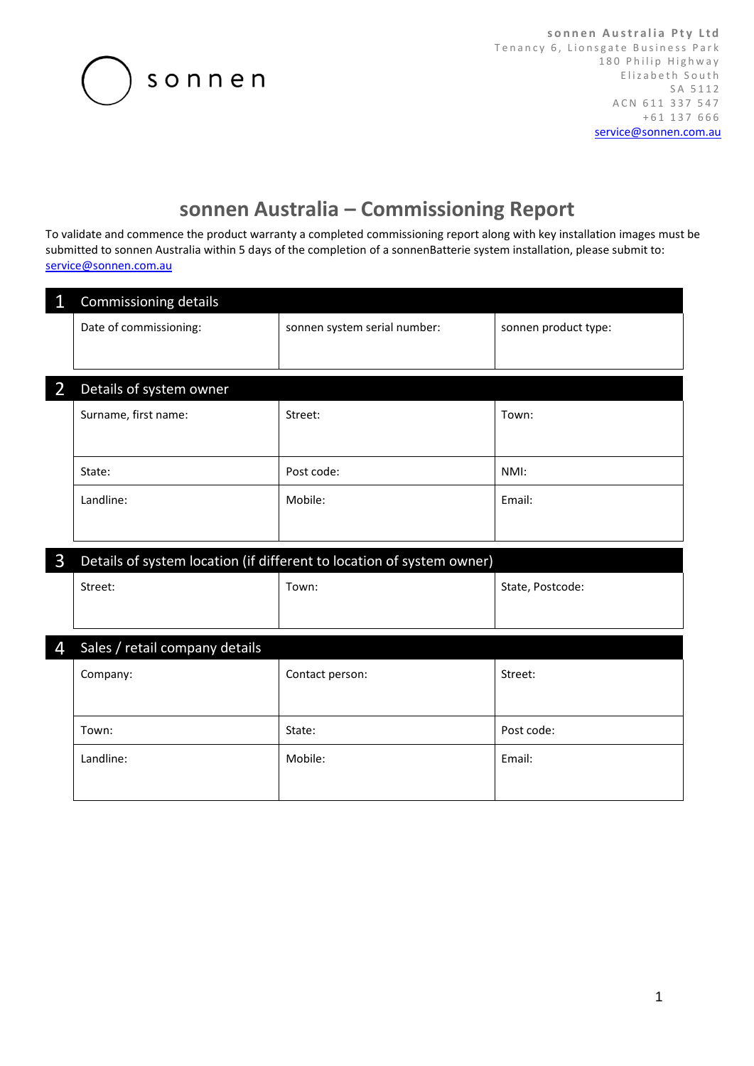

## **sonnen Australia – Commissioning Report**

To validate and commence the product warranty a completed commissioning report along with key installation images must be submitted to sonnen Australia within 5 days of the completion of a sonnenBatterie system installation, please submit to: [service@sonnen.com.au](mailto:service@sonnen.com.au)

| $\mathbf{1}$   | Commissioning details                                                 |                              |                      |  |
|----------------|-----------------------------------------------------------------------|------------------------------|----------------------|--|
|                | Date of commissioning:                                                | sonnen system serial number: | sonnen product type: |  |
|                |                                                                       |                              |                      |  |
| $\overline{2}$ | Details of system owner                                               |                              |                      |  |
|                | Surname, first name:                                                  | Street:                      | Town:                |  |
|                |                                                                       |                              |                      |  |
|                | State:                                                                | Post code:                   | NMI:                 |  |
|                | Landline:                                                             | Mobile:                      | Email:               |  |
|                |                                                                       |                              |                      |  |
| 3              | Details of system location (if different to location of system owner) |                              |                      |  |
|                | Street:                                                               | Town:                        | State, Postcode:     |  |
|                |                                                                       |                              |                      |  |
| 4              | Sales / retail company details                                        |                              |                      |  |
|                | Company:                                                              | Contact person:              | Street:              |  |
|                |                                                                       |                              |                      |  |
|                | Town:                                                                 | State:                       | Post code:           |  |
|                | Landline:                                                             | Mobile:                      | Email:               |  |
|                |                                                                       |                              |                      |  |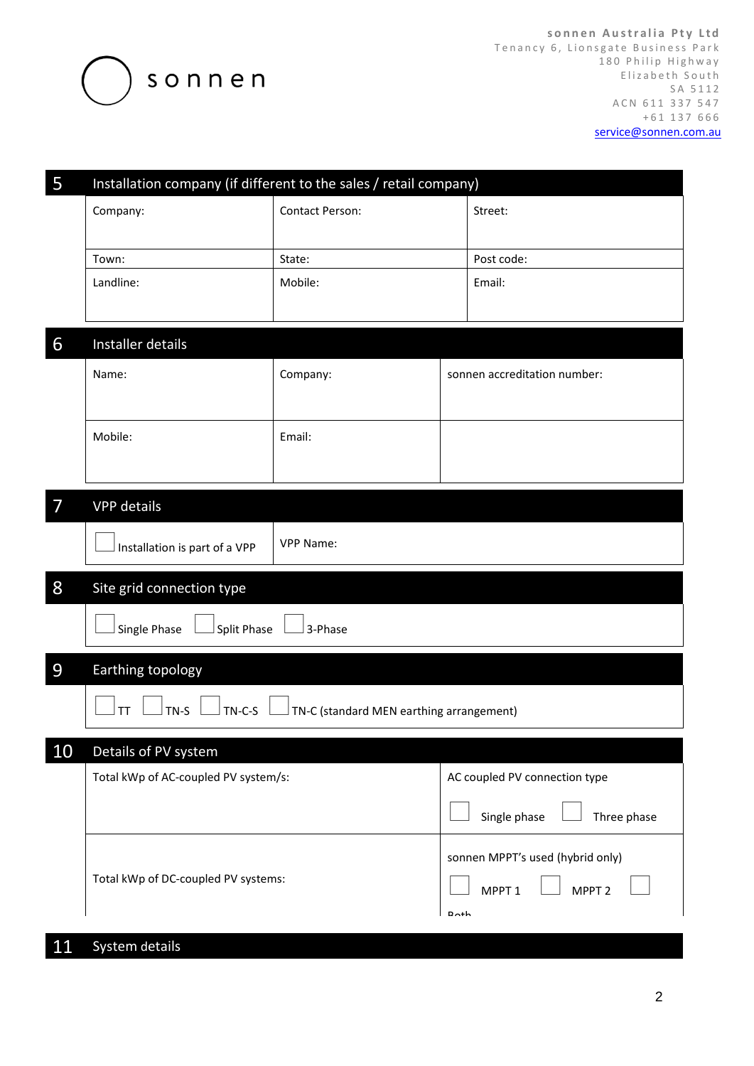

**s o n n e n A u s t r a l i a P t y L t d** Tenancy 6, Lionsgate Business Park 180 Philip Highway Elizabeth South S A 5 1 1 2 A C N 611 337 547 + 6 1 1 3 7 6 6 6 [service@sonnen.com.au](mailto:service@sonnen.com.au)

| 5              | Installation company (if different to the sales / retail company) |                        |                                        |  |
|----------------|-------------------------------------------------------------------|------------------------|----------------------------------------|--|
|                | Company:                                                          | <b>Contact Person:</b> | Street:                                |  |
|                |                                                                   |                        |                                        |  |
|                | Town:                                                             | State:                 | Post code:                             |  |
|                | Landline:                                                         | Mobile:                | Email:                                 |  |
|                |                                                                   |                        |                                        |  |
| 6              | Installer details                                                 |                        |                                        |  |
|                | Name:                                                             | Company:               | sonnen accreditation number:           |  |
|                |                                                                   |                        |                                        |  |
|                | Mobile:                                                           | Email:                 |                                        |  |
|                |                                                                   |                        |                                        |  |
|                |                                                                   |                        |                                        |  |
| $\overline{7}$ | VPP details                                                       |                        |                                        |  |
|                | Installation is part of a VPP                                     | <b>VPP Name:</b>       |                                        |  |
|                |                                                                   |                        |                                        |  |
| 8              | Site grid connection type                                         |                        |                                        |  |
|                | Single Phase<br>Split Phase                                       | 3-Phase                |                                        |  |
|                |                                                                   |                        |                                        |  |
| 9              | Earthing topology                                                 |                        |                                        |  |
|                | $TN-S$<br>$TN-C-S$<br><b>TT</b>                                   |                        |                                        |  |
|                | TN-C (standard MEN earthing arrangement)                          |                        |                                        |  |
| 10             | Details of PV system                                              |                        |                                        |  |
|                | Total kWp of AC-coupled PV system/s:                              |                        | AC coupled PV connection type          |  |
|                |                                                                   |                        | Single phase<br>Three phase            |  |
|                | Total kWp of DC-coupled PV systems:                               |                        | sonnen MPPT's used (hybrid only)       |  |
|                |                                                                   |                        | MPPT <sub>1</sub><br>MPPT <sub>2</sub> |  |
|                |                                                                   |                        | D <sub>th</sub>                        |  |

## 11 System details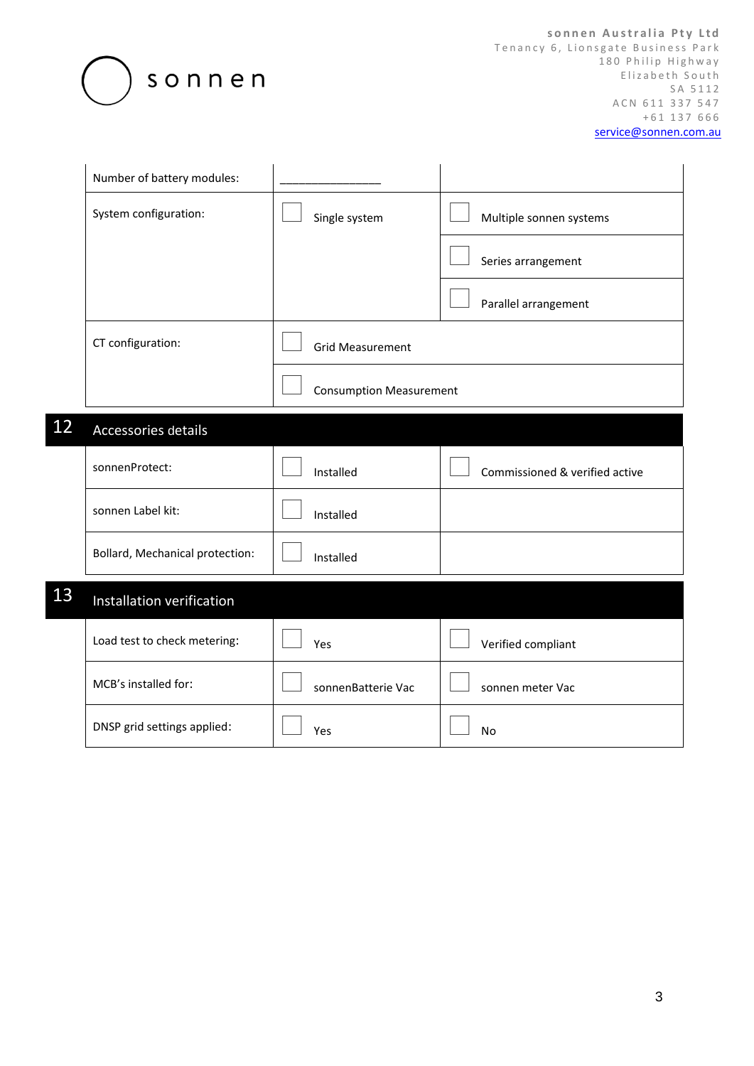

**s o n n e n A u s t r a l i a P t y L t d** Tenancy 6, Lionsgate Business Park 180 Philip Highway Elizabeth South S A 5 1 1 2 A C N 611 337 547 + 6 1 1 3 7 6 6 6 [service@sonnen.com.au](mailto:service@sonnen.com.au)

|    | Number of battery modules:      |                                |                                |
|----|---------------------------------|--------------------------------|--------------------------------|
|    | System configuration:           | Single system                  | Multiple sonnen systems        |
|    |                                 |                                | Series arrangement             |
|    |                                 |                                | Parallel arrangement           |
|    | CT configuration:               | <b>Grid Measurement</b>        |                                |
|    |                                 | <b>Consumption Measurement</b> |                                |
| 12 | Accessories details             |                                |                                |
|    | sonnenProtect:                  | Installed                      | Commissioned & verified active |
|    | sonnen Label kit:               | Installed                      |                                |
|    | Bollard, Mechanical protection: | Installed                      |                                |
| 13 | Installation verification       |                                |                                |
|    | Load test to check metering:    | Yes                            | Verified compliant             |
|    | MCB's installed for:            | sonnenBatterie Vac             | sonnen meter Vac               |
|    | DNSP grid settings applied:     | Yes                            | <b>No</b>                      |